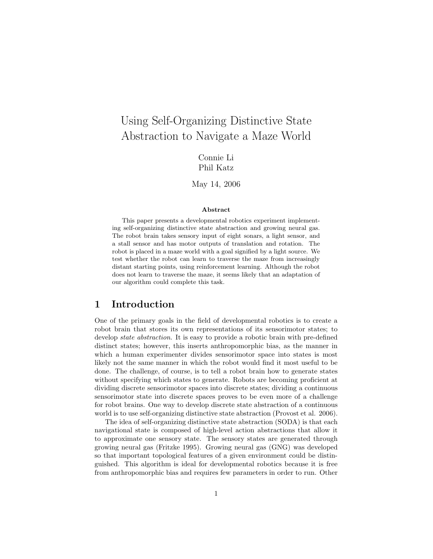# Using Self-Organizing Distinctive State Abstraction to Navigate a Maze World

Connie Li Phil Katz

May 14, 2006

#### Abstract

This paper presents a developmental robotics experiment implementing self-organizing distinctive state abstraction and growing neural gas. The robot brain takes sensory input of eight sonars, a light sensor, and a stall sensor and has motor outputs of translation and rotation. The robot is placed in a maze world with a goal signified by a light source. We test whether the robot can learn to traverse the maze from increasingly distant starting points, using reinforcement learning. Although the robot does not learn to traverse the maze, it seems likely that an adaptation of our algorithm could complete this task.

#### 1 Introduction

One of the primary goals in the field of developmental robotics is to create a robot brain that stores its own representations of its sensorimotor states; to develop *state abstraction*. It is easy to provide a robotic brain with pre-defined distinct states; however, this inserts anthropomorphic bias, as the manner in which a human experimenter divides sensorimotor space into states is most likely not the same manner in which the robot would find it most useful to be done. The challenge, of course, is to tell a robot brain how to generate states without specifying which states to generate. Robots are becoming proficient at dividing discrete sensorimotor spaces into discrete states; dividing a continuous sensorimotor state into discrete spaces proves to be even more of a challenge for robot brains. One way to develop discrete state abstraction of a continuous world is to use self-organizing distinctive state abstraction (Provost et al. 2006).

The idea of self-organizing distinctive state abstraction (SODA) is that each navigational state is composed of high-level action abstractions that allow it to approximate one sensory state. The sensory states are generated through growing neural gas (Fritzke 1995). Growing neural gas (GNG) was developed so that important topological features of a given environment could be distinguished. This algorithm is ideal for developmental robotics because it is free from anthropomorphic bias and requires few parameters in order to run. Other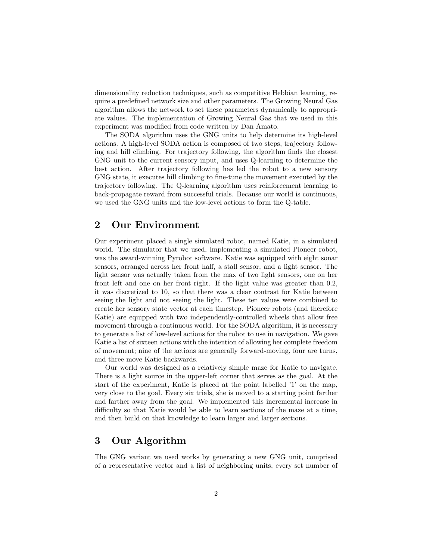dimensionality reduction techniques, such as competitive Hebbian learning, require a predefined network size and other parameters. The Growing Neural Gas algorithm allows the network to set these parameters dynamically to appropriate values. The implementation of Growing Neural Gas that we used in this experiment was modified from code written by Dan Amato.

The SODA algorithm uses the GNG units to help determine its high-level actions. A high-level SODA action is composed of two steps, trajectory following and hill climbing. For trajectory following, the algorithm finds the closest GNG unit to the current sensory input, and uses Q-learning to determine the best action. After trajectory following has led the robot to a new sensory GNG state, it executes hill climbing to fine-tune the movement executed by the trajectory following. The Q-learning algorithm uses reinforcement learning to back-propagate reward from successful trials. Because our world is continuous, we used the GNG units and the low-level actions to form the Q-table.

#### 2 Our Environment

Our experiment placed a single simulated robot, named Katie, in a simulated world. The simulator that we used, implementing a simulated Pioneer robot, was the award-winning Pyrobot software. Katie was equipped with eight sonar sensors, arranged across her front half, a stall sensor, and a light sensor. The light sensor was actually taken from the max of two light sensors, one on her front left and one on her front right. If the light value was greater than 0.2, it was discretized to 10, so that there was a clear contrast for Katie between seeing the light and not seeing the light. These ten values were combined to create her sensory state vector at each timestep. Pioneer robots (and therefore Katie) are equipped with two independently-controlled wheels that allow free movement through a continuous world. For the SODA algorithm, it is necessary to generate a list of low-level actions for the robot to use in navigation. We gave Katie a list of sixteen actions with the intention of allowing her complete freedom of movement; nine of the actions are generally forward-moving, four are turns, and three move Katie backwards.

Our world was designed as a relatively simple maze for Katie to navigate. There is a light source in the upper-left corner that serves as the goal. At the start of the experiment, Katie is placed at the point labelled '1' on the map, very close to the goal. Every six trials, she is moved to a starting point farther and farther away from the goal. We implemented this incremental increase in difficulty so that Katie would be able to learn sections of the maze at a time, and then build on that knowledge to learn larger and larger sections.

### 3 Our Algorithm

The GNG variant we used works by generating a new GNG unit, comprised of a representative vector and a list of neighboring units, every set number of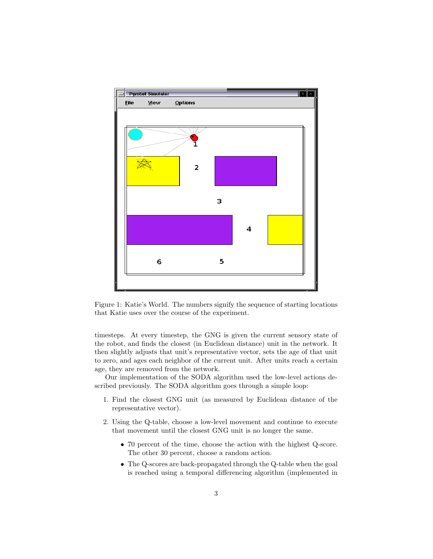

Figure 1: Katie's World. The numbers signify the sequence of starting locations that Katie uses over the course of the experiment.

timesteps. At every timestep, the GNG is given the current sensory state of the robot, and finds the closest (in Euclidean distance) unit in the network. It then slightly adjusts that unit's representative vector, sets the age of that unit to zero, and ages each neighbor of the current unit. After units reach a certain age, they are removed from the network.

Our implementation of the SODA algorithm used the low-level actions described previously. The SODA algorithm goes through a simple loop:

- 1. Find the closest GNG unit (as measured by Euclidean distance of the representative vector).
- 2. Using the Q-table, choose a low-level movement and continue to execute that movement until the closest GNG unit is no longer the same.
	- 70 percent of the time, choose the action with the highest Q-score. The other 30 percent, choose a random action.
	- The Q-scores are back-propagated through the Q-table when the goal is reached using a temporal differencing algorithm (implemented in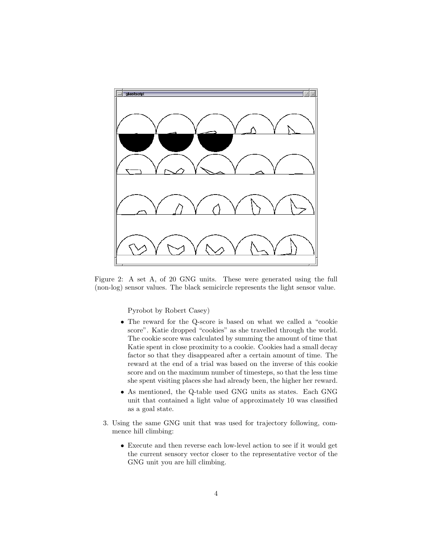

Figure 2: A set A, of 20 GNG units. These were generated using the full (non-log) sensor values. The black semicircle represents the light sensor value.

Pyrobot by Robert Casey)

- The reward for the Q-score is based on what we called a "cookie score". Katie dropped "cookies" as she travelled through the world. The cookie score was calculated by summing the amount of time that Katie spent in close proximity to a cookie. Cookies had a small decay factor so that they disappeared after a certain amount of time. The reward at the end of a trial was based on the inverse of this cookie score and on the maximum number of timesteps, so that the less time she spent visiting places she had already been, the higher her reward.
- As mentioned, the Q-table used GNG units as states. Each GNG unit that contained a light value of approximately 10 was classified as a goal state.
- 3. Using the same GNG unit that was used for trajectory following, commence hill climbing:
	- Execute and then reverse each low-level action to see if it would get the current sensory vector closer to the representative vector of the GNG unit you are hill climbing.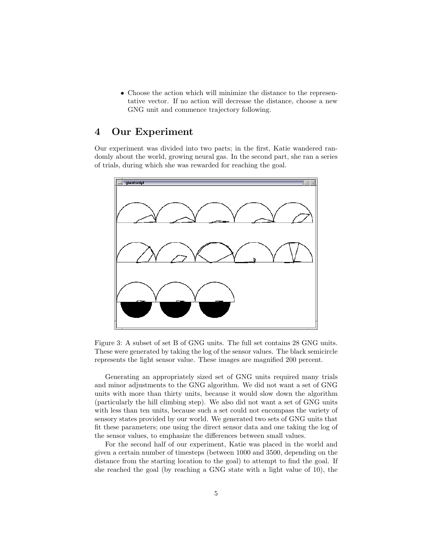• Choose the action which will minimize the distance to the representative vector. If no action will decrease the distance, choose a new GNG unit and commence trajectory following.

#### 4 Our Experiment

Our experiment was divided into two parts; in the first, Katie wandered randomly about the world, growing neural gas. In the second part, she ran a series of trials, during which she was rewarded for reaching the goal.



Figure 3: A subset of set B of GNG units. The full set contains 28 GNG units. These were generated by taking the log of the sensor values. The black semicircle represents the light sensor value. These images are magnified 200 percent.

Generating an appropriately sized set of GNG units required many trials and minor adjustments to the GNG algorithm. We did not want a set of GNG units with more than thirty units, because it would slow down the algorithm (particularly the hill climbing step). We also did not want a set of GNG units with less than ten units, because such a set could not encompass the variety of sensory states provided by our world. We generated two sets of GNG units that fit these parameters; one using the direct sensor data and one taking the log of the sensor values, to emphasize the differences between small values.

For the second half of our experiment, Katie was placed in the world and given a certain number of timesteps (between 1000 and 3500, depending on the distance from the starting location to the goal) to attempt to find the goal. If she reached the goal (by reaching a GNG state with a light value of 10), the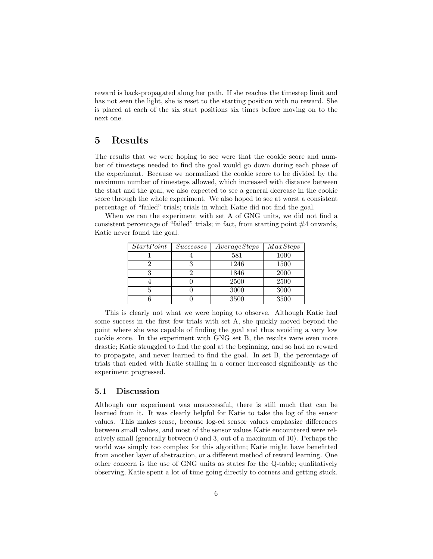reward is back-propagated along her path. If she reaches the timestep limit and has not seen the light, she is reset to the starting position with no reward. She is placed at each of the six start positions six times before moving on to the next one.

#### 5 Results

The results that we were hoping to see were that the cookie score and number of timesteps needed to find the goal would go down during each phase of the experiment. Because we normalized the cookie score to be divided by the maximum number of timesteps allowed, which increased with distance between the start and the goal, we also expected to see a general decrease in the cookie score through the whole experiment. We also hoped to see at worst a consistent percentage of "failed" trials; trials in which Katie did not find the goal.

When we ran the experiment with set A of GNG units, we did not find a consistent percentage of "failed" trials; in fact, from starting point #4 onwards, Katie never found the goal.

| <i>StartPoint</i> | <i>Successes</i> | AverageSteps | $\overline{MaxSteps}$ |
|-------------------|------------------|--------------|-----------------------|
|                   |                  | 581          | 1000                  |
|                   |                  | 1246         | 1500                  |
|                   |                  | 1846         | 2000                  |
|                   |                  | 2500         | 2500                  |
|                   |                  | 3000         | 3000                  |
|                   |                  | 3500         | 3500                  |

This is clearly not what we were hoping to observe. Although Katie had some success in the first few trials with set A, she quickly moved beyond the point where she was capable of finding the goal and thus avoiding a very low cookie score. In the experiment with GNG set B, the results were even more drastic; Katie struggled to find the goal at the beginning, and so had no reward to propagate, and never learned to find the goal. In set B, the percentage of trials that ended with Katie stalling in a corner increased significantly as the experiment progressed.

#### 5.1 Discussion

Although our experiment was unsuccessful, there is still much that can be learned from it. It was clearly helpful for Katie to take the log of the sensor values. This makes sense, because log-ed sensor values emphasize differences between small values, and most of the sensor values Katie encountered were relatively small (generally between 0 and 3, out of a maximum of 10). Perhaps the world was simply too complex for this algorithm; Katie might have benefitted from another layer of abstraction, or a different method of reward learning. One other concern is the use of GNG units as states for the Q-table; qualitatively observing, Katie spent a lot of time going directly to corners and getting stuck.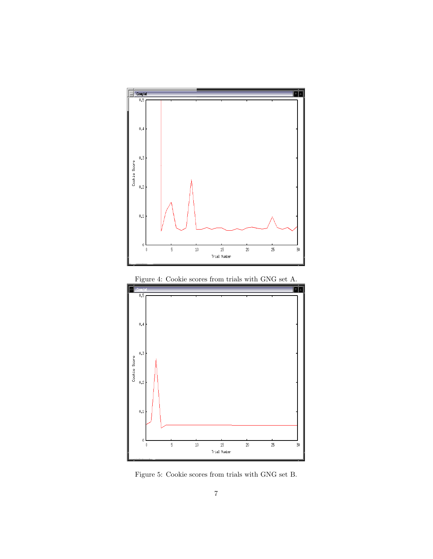





Figure 5: Cookie scores from trials with GNG set B.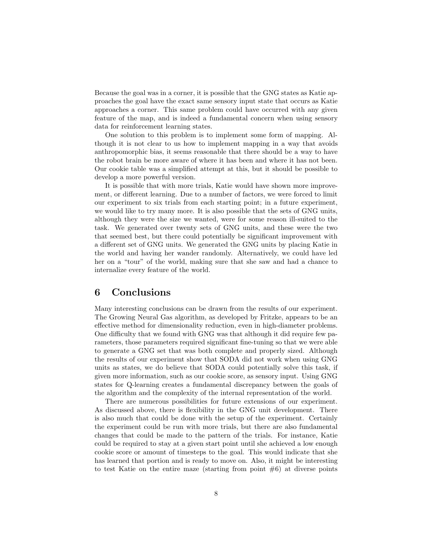Because the goal was in a corner, it is possible that the GNG states as Katie approaches the goal have the exact same sensory input state that occurs as Katie approaches a corner. This same problem could have occurred with any given feature of the map, and is indeed a fundamental concern when using sensory data for reinforcement learning states.

One solution to this problem is to implement some form of mapping. Although it is not clear to us how to implement mapping in a way that avoids anthropomorphic bias, it seems reasonable that there should be a way to have the robot brain be more aware of where it has been and where it has not been. Our cookie table was a simplified attempt at this, but it should be possible to develop a more powerful version.

It is possible that with more trials, Katie would have shown more improvement, or different learning. Due to a number of factors, we were forced to limit our experiment to six trials from each starting point; in a future experiment, we would like to try many more. It is also possible that the sets of GNG units, although they were the size we wanted, were for some reason ill-suited to the task. We generated over twenty sets of GNG units, and these were the two that seemed best, but there could potentially be significant improvement with a different set of GNG units. We generated the GNG units by placing Katie in the world and having her wander randomly. Alternatively, we could have led her on a "tour" of the world, making sure that she saw and had a chance to internalize every feature of the world.

### 6 Conclusions

Many interesting conclusions can be drawn from the results of our experiment. The Growing Neural Gas algorithm, as developed by Fritzke, appears to be an effective method for dimensionality reduction, even in high-diameter problems. One difficulty that we found with GNG was that although it did require few parameters, those parameters required significant fine-tuning so that we were able to generate a GNG set that was both complete and properly sized. Although the results of our experiment show that SODA did not work when using GNG units as states, we do believe that SODA could potentially solve this task, if given more information, such as our cookie score, as sensory input. Using GNG states for Q-learning creates a fundamental discrepancy between the goals of the algorithm and the complexity of the internal representation of the world.

There are numerous possibilities for future extensions of our experiment. As discussed above, there is flexibility in the GNG unit development. There is also much that could be done with the setup of the experiment. Certainly the experiment could be run with more trials, but there are also fundamental changes that could be made to the pattern of the trials. For instance, Katie could be required to stay at a given start point until she achieved a low enough cookie score or amount of timesteps to the goal. This would indicate that she has learned that portion and is ready to move on. Also, it might be interesting to test Katie on the entire maze (starting from point  $#6$ ) at diverse points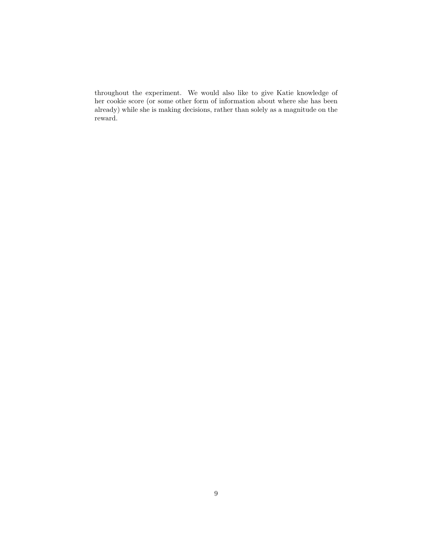throughout the experiment. We would also like to give Katie knowledge of her cookie score (or some other form of information about where she has been already) while she is making decisions, rather than solely as a magnitude on the reward.